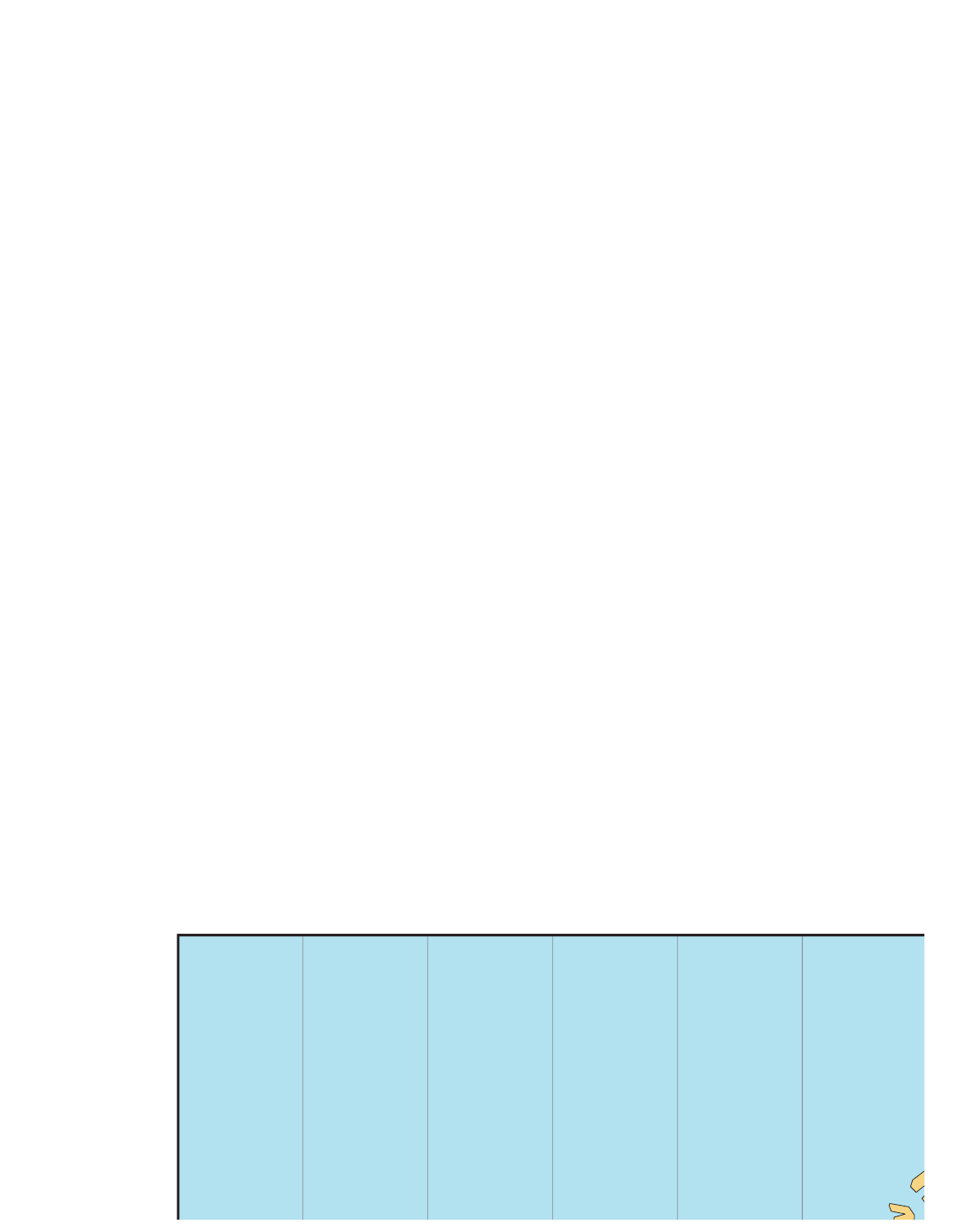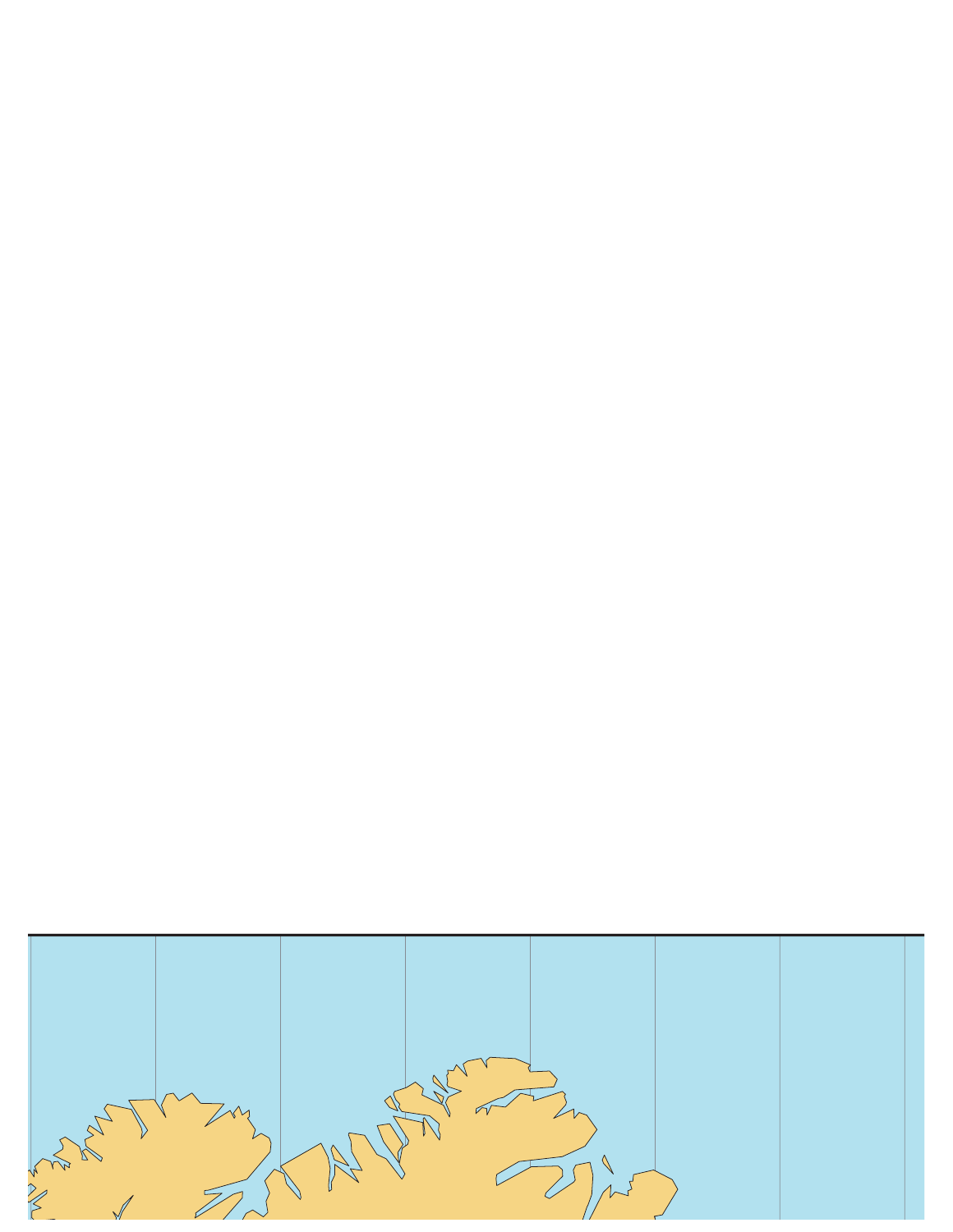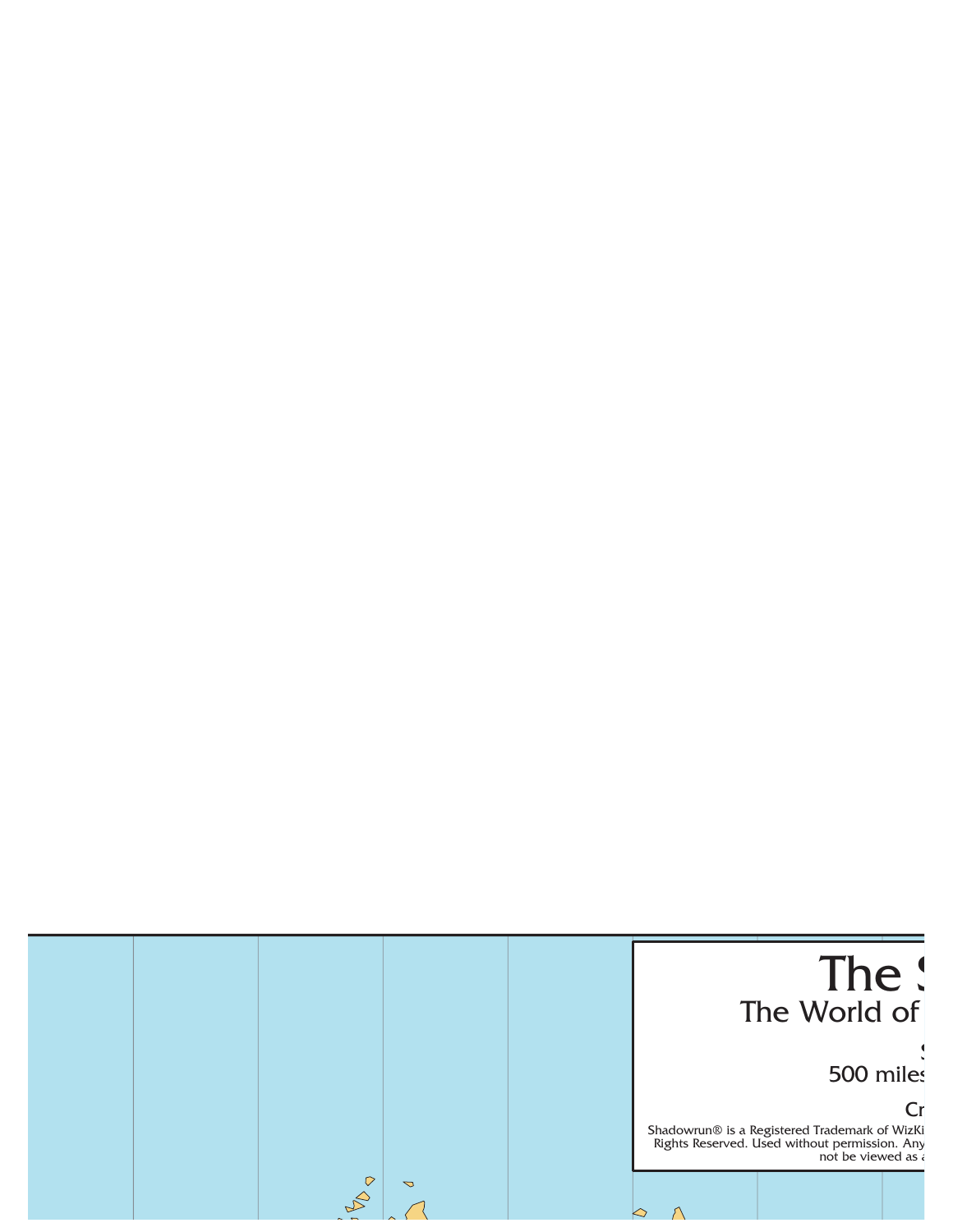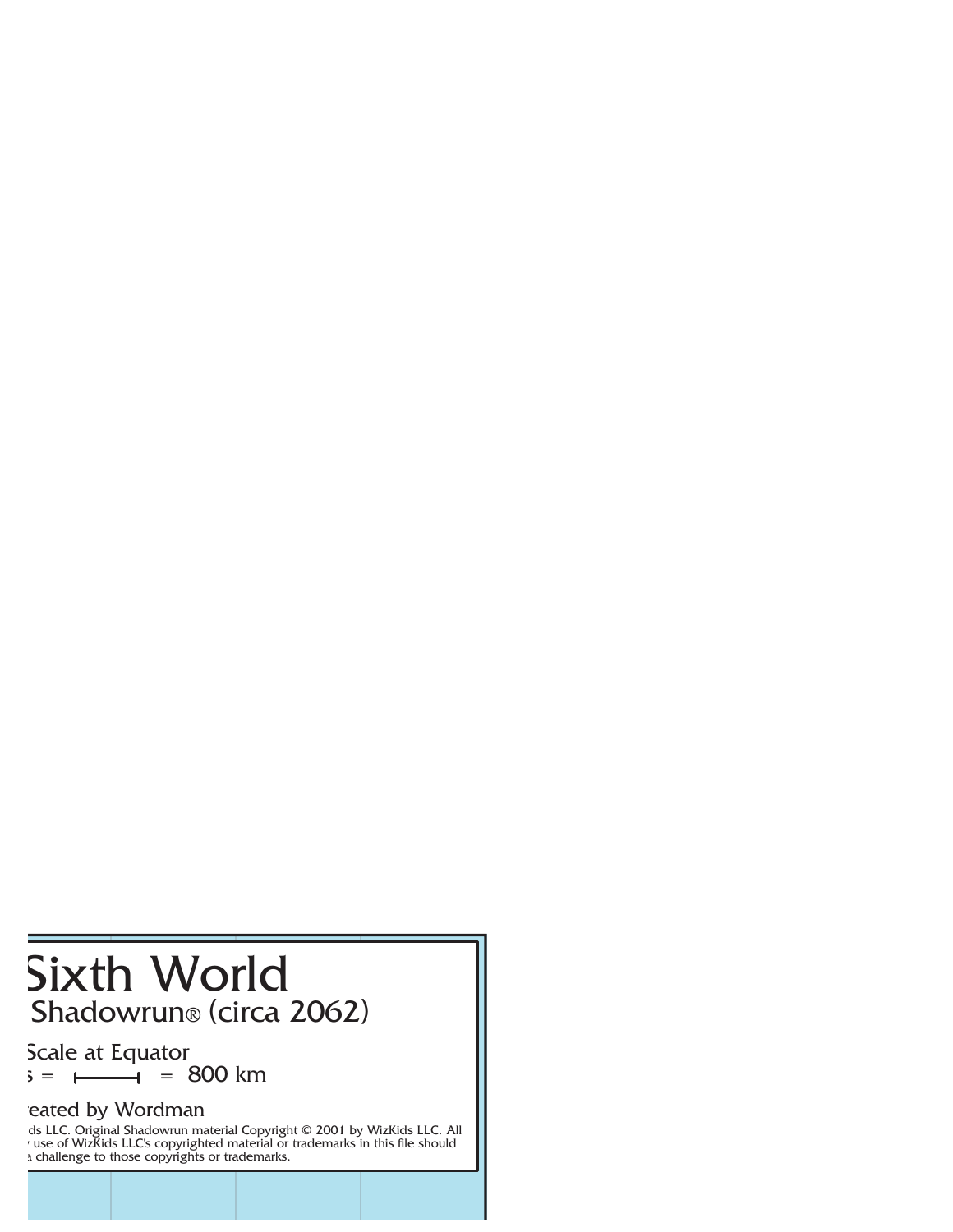## Sixth World Shadowrun® (circa 2062)

Scale at Equator  $s =$   $\rightarrow$  = 800 km

## eated by Wordman

ds LLC. Original Shadowrun material Copyright © 2001 by WizKids LLC. All vuse of WizKids LLC's copyrighted material or trademarks in this file should a challenge to those copyrights or trademarks.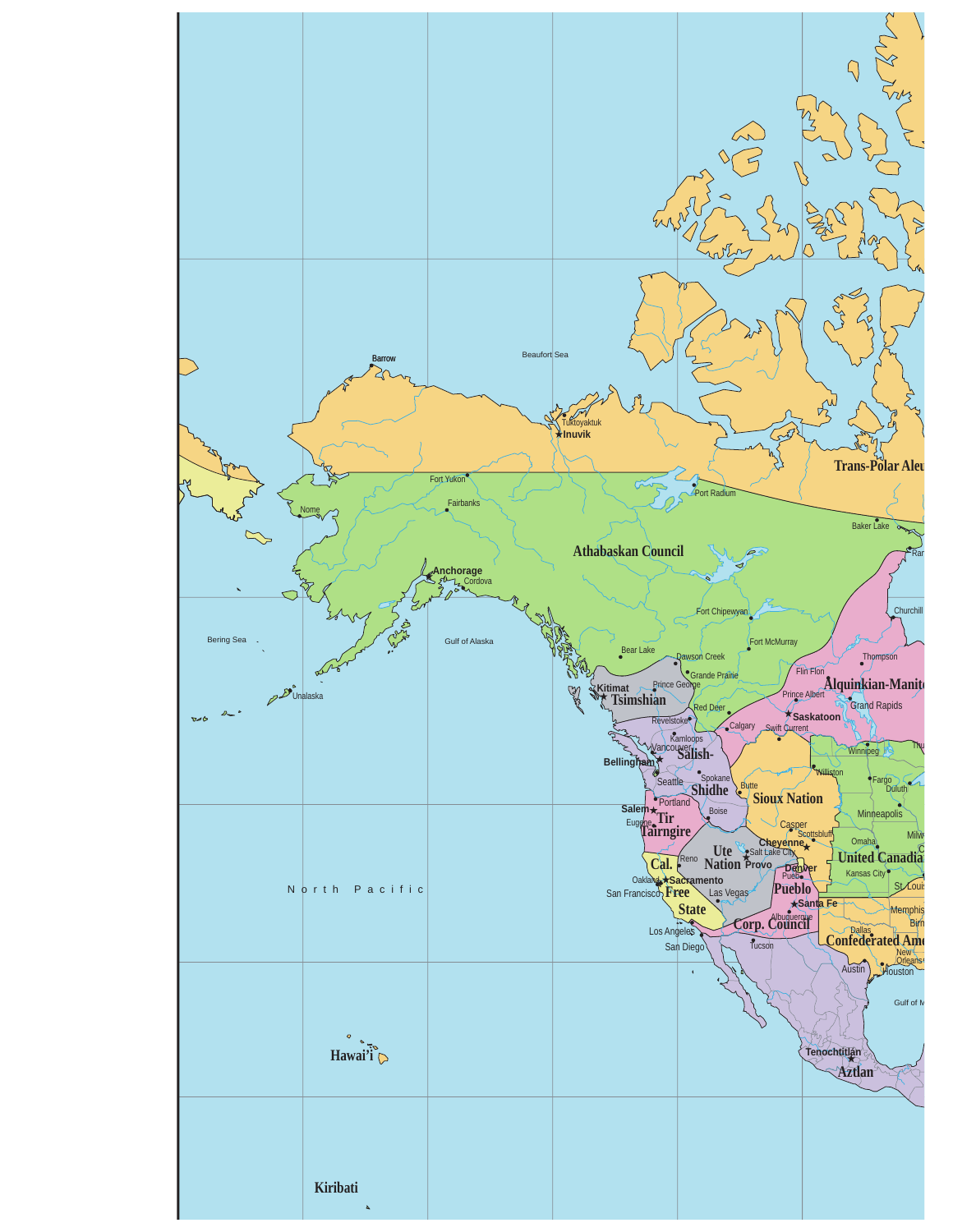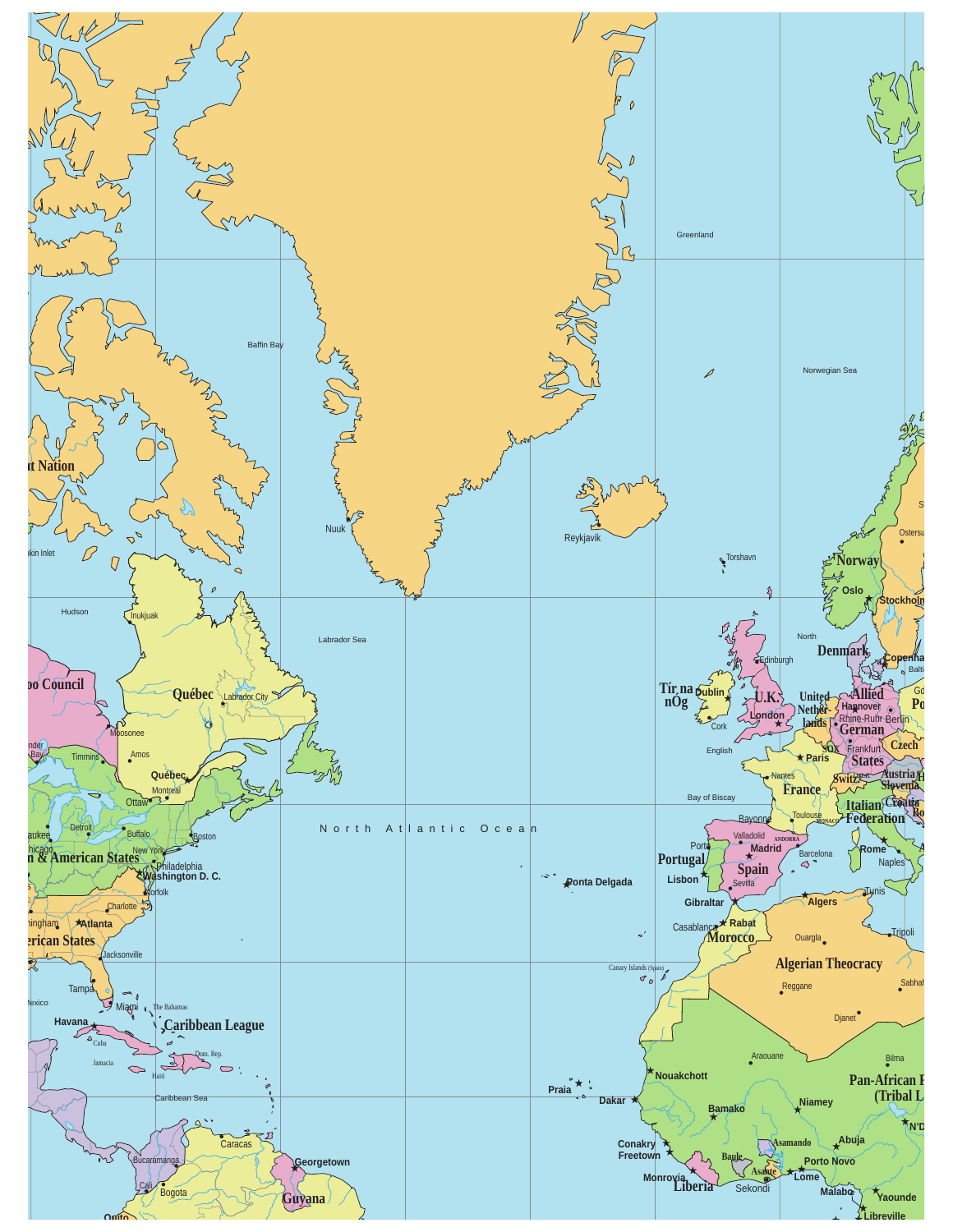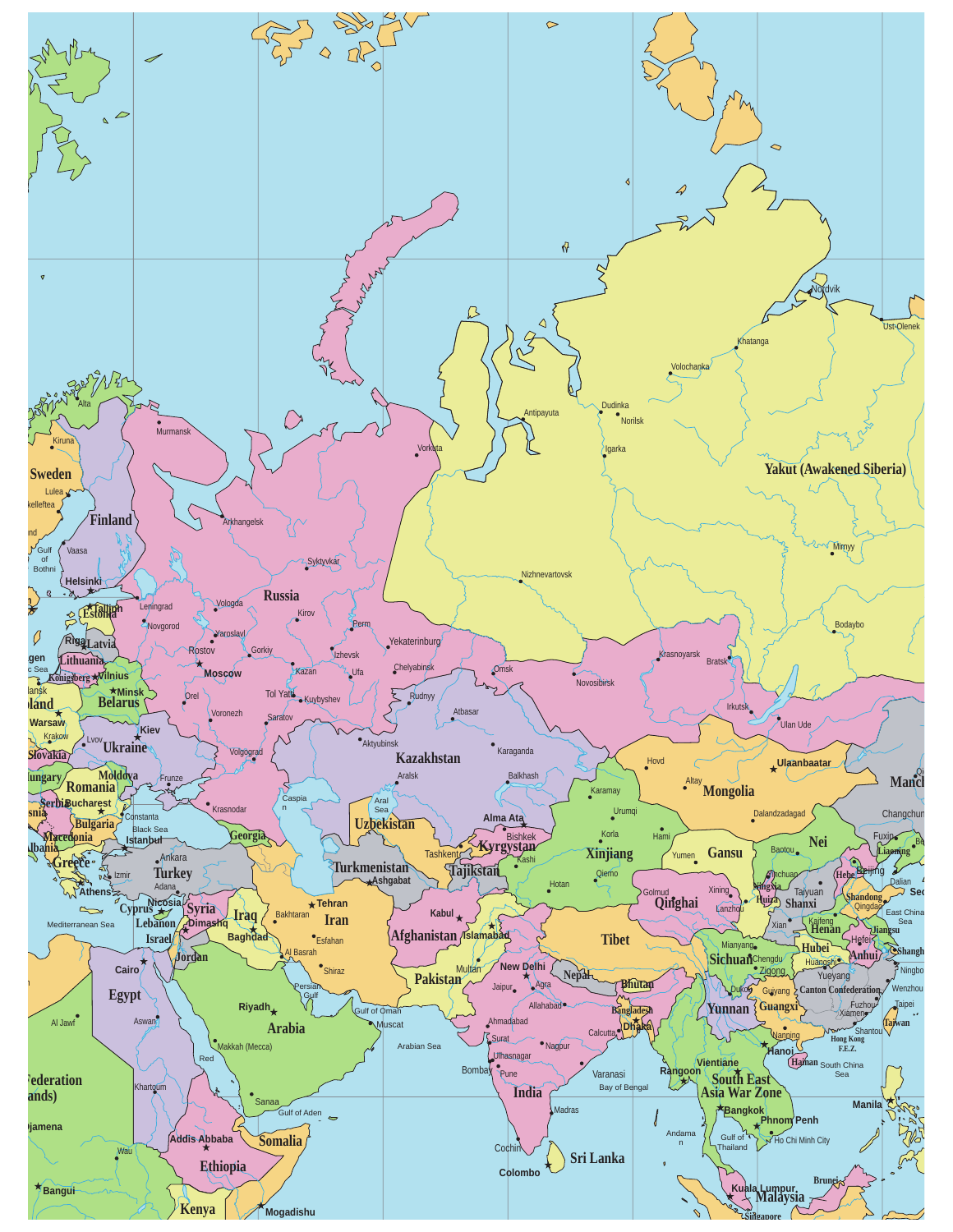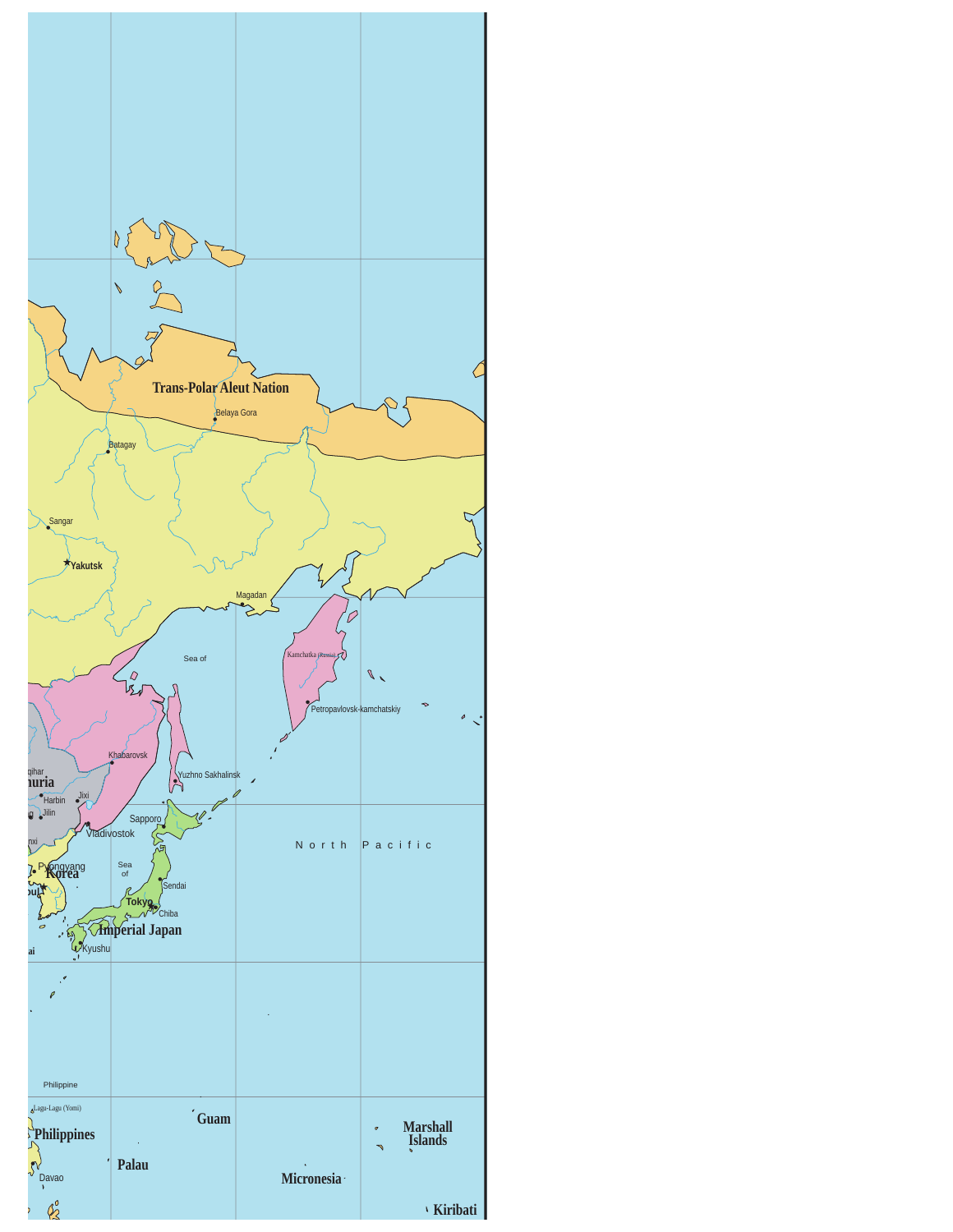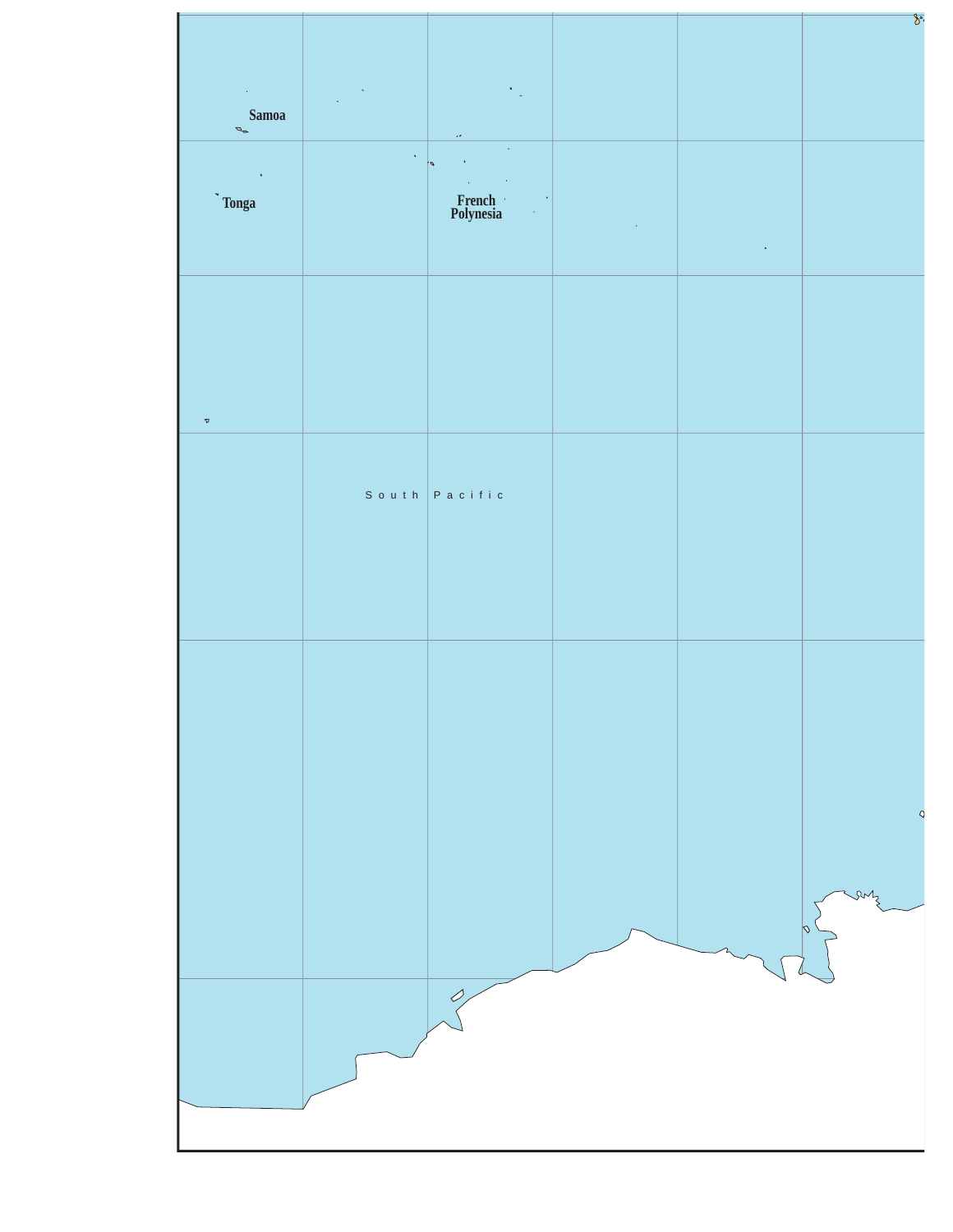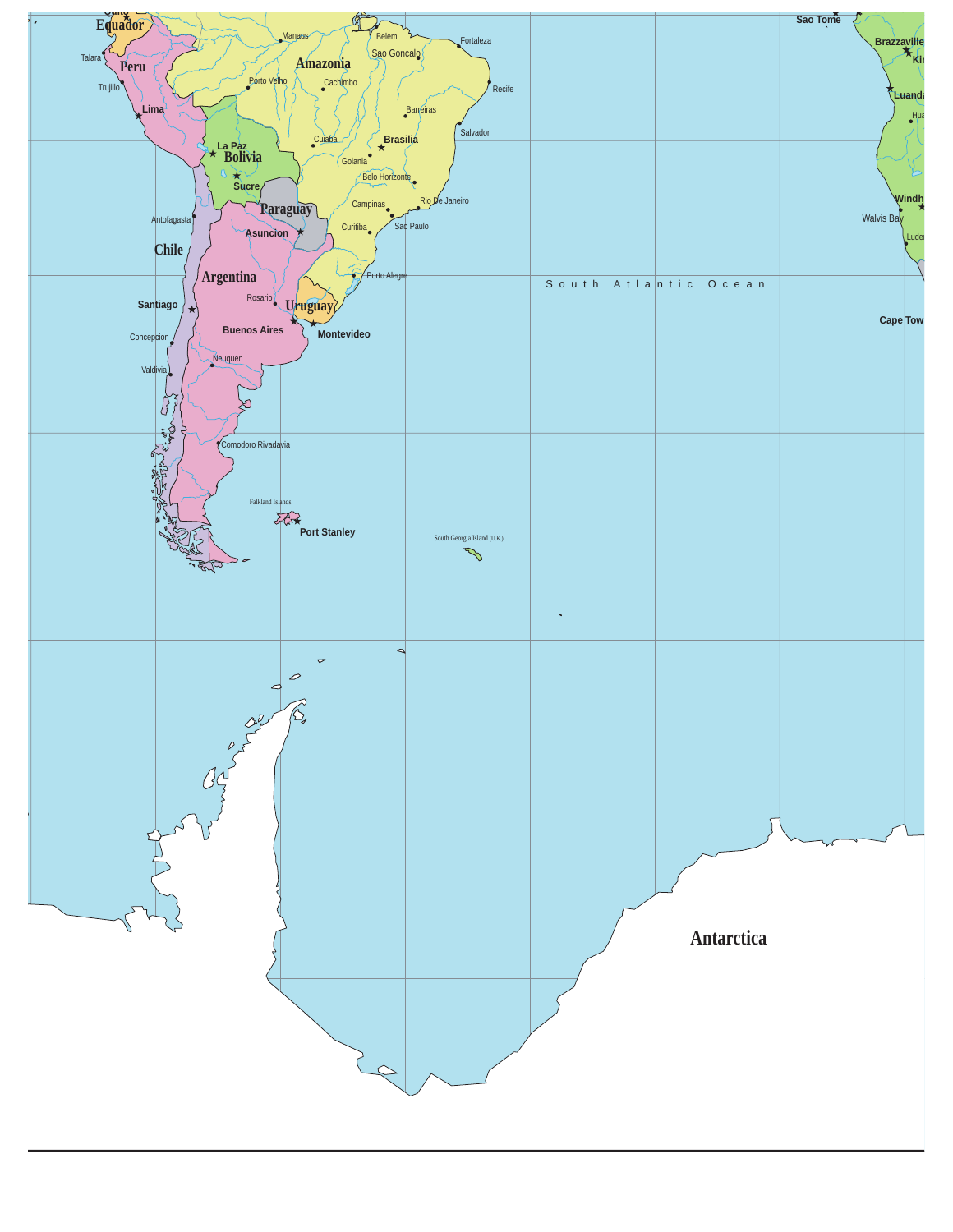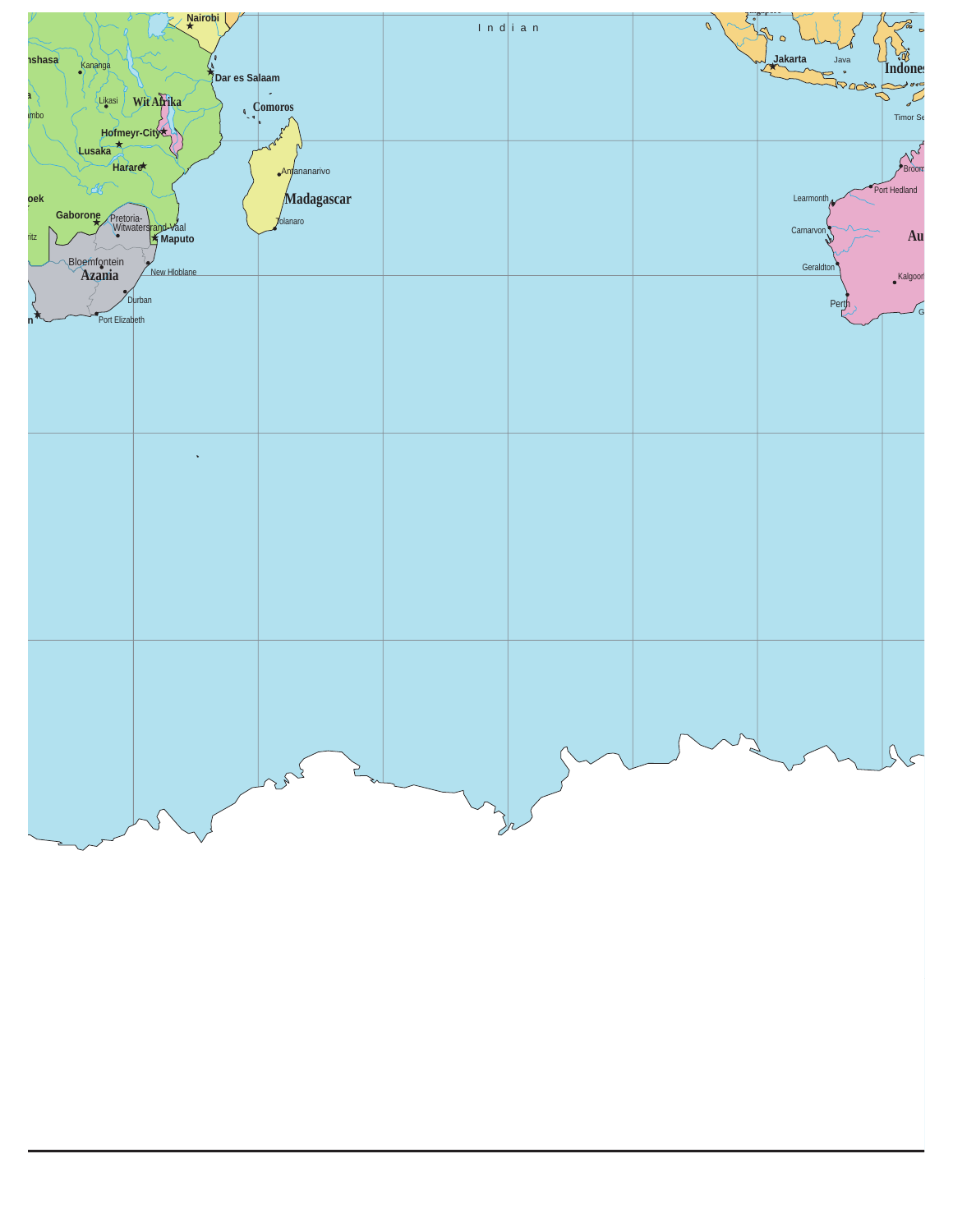